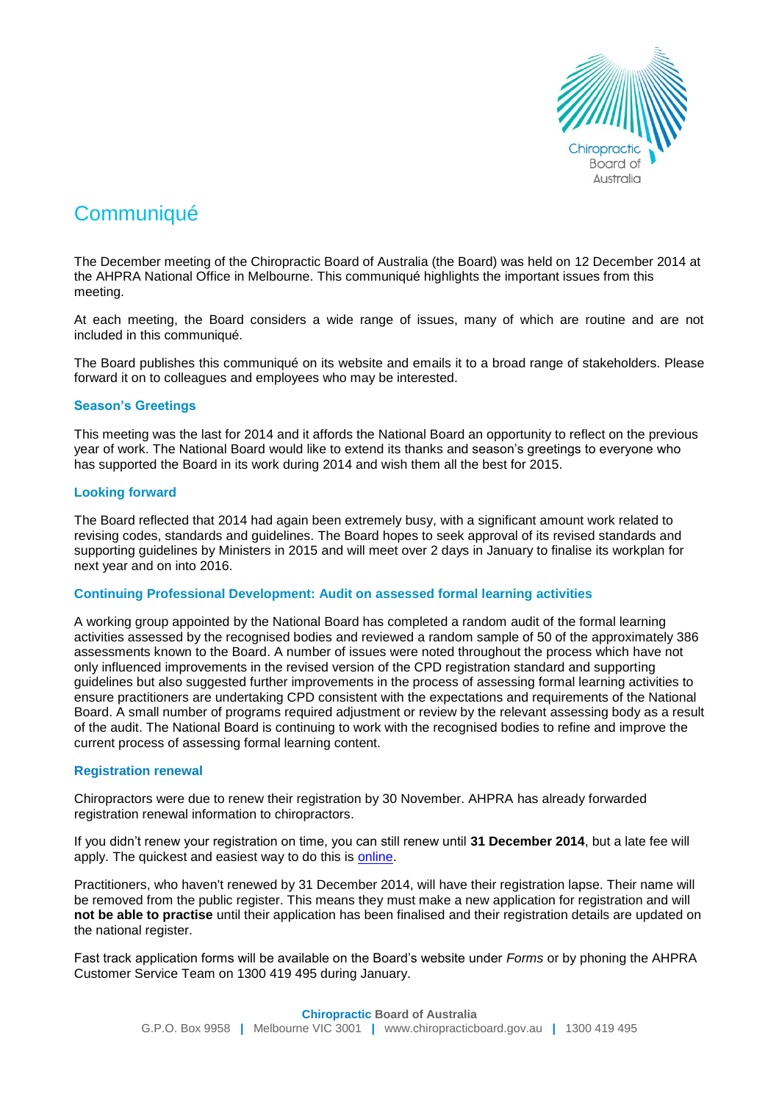

# **Communiqué**

The December meeting of the Chiropractic Board of Australia (the Board) was held on 12 December 2014 at the AHPRA National Office in Melbourne. This communiqué highlights the important issues from this meeting.

At each meeting, the Board considers a wide range of issues, many of which are routine and are not included in this communiqué.

The Board publishes this communiqué on its website and emails it to a broad range of stakeholders. Please forward it on to colleagues and employees who may be interested.

# **Season's Greetings**

This meeting was the last for 2014 and it affords the National Board an opportunity to reflect on the previous year of work. The National Board would like to extend its thanks and season's greetings to everyone who has supported the Board in its work during 2014 and wish them all the best for 2015.

## **Looking forward**

The Board reflected that 2014 had again been extremely busy, with a significant amount work related to revising codes, standards and guidelines. The Board hopes to seek approval of its revised standards and supporting guidelines by Ministers in 2015 and will meet over 2 days in January to finalise its workplan for next year and on into 2016.

## **Continuing Professional Development: Audit on assessed formal learning activities**

A working group appointed by the National Board has completed a random audit of the formal learning activities assessed by the recognised bodies and reviewed a random sample of 50 of the approximately 386 assessments known to the Board. A number of issues were noted throughout the process which have not only influenced improvements in the revised version of the CPD registration standard and supporting guidelines but also suggested further improvements in the process of assessing formal learning activities to ensure practitioners are undertaking CPD consistent with the expectations and requirements of the National Board. A small number of programs required adjustment or review by the relevant assessing body as a result of the audit. The National Board is continuing to work with the recognised bodies to refine and improve the current process of assessing formal learning content.

## **Registration renewal**

Chiropractors were due to renew their registration by 30 November. AHPRA has already forwarded registration renewal information to chiropractors.

If you didn't renew your registration on time, you can still renew until **31 December 2014**, but a late fee will apply. The quickest and easiest way to do this is [online.](https://www.ahpra.gov.au/Login.aspx)

Practitioners, who haven't renewed by 31 December 2014, will have their registration lapse. Their name will be removed from the public register. This means they must make a new application for registration and will **not be able to practise** until their application has been finalised and their registration details are updated on the national register.

Fast track application forms will be available on the Board's website under *Forms* or by phoning the AHPRA Customer Service Team on 1300 419 495 during January.